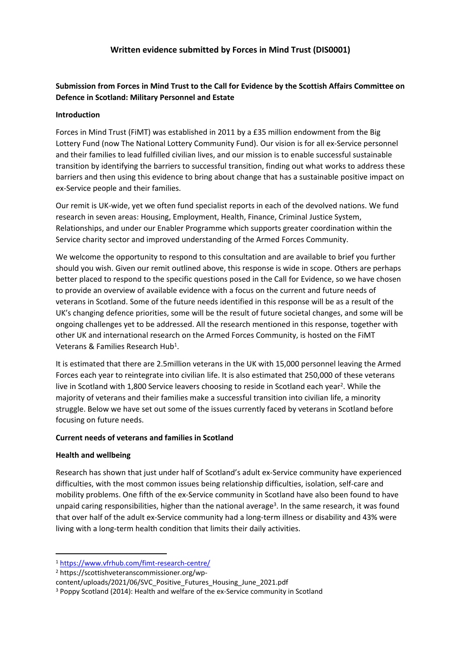# **Submission from Forces in Mind Trust to the Call for Evidence by the Scottish Affairs Committee on Defence in Scotland: Military Personnel and Estate**

#### **Introduction**

Forces in Mind Trust (FiMT) was established in 2011 by a £35 million endowment from the Big Lottery Fund (now The National Lottery Community Fund). Our vision is for all ex-Service personnel and their families to lead fulfilled civilian lives, and our mission is to enable successful sustainable transition by identifying the barriers to successful transition, finding out what works to address these barriers and then using this evidence to bring about change that has a sustainable positive impact on ex-Service people and their families.

Our remit is UK-wide, yet we often fund specialist reports in each of the devolved nations. We fund research in seven areas: Housing, Employment, Health, Finance, Criminal Justice System, Relationships, and under our Enabler Programme which supports greater coordination within the Service charity sector and improved understanding of the Armed Forces Community.

We welcome the opportunity to respond to this consultation and are available to brief you further should you wish. Given our remit outlined above, this response is wide in scope. Others are perhaps better placed to respond to the specific questions posed in the Call for Evidence, so we have chosen to provide an overview of available evidence with a focus on the current and future needs of veterans in Scotland. Some of the future needs identified in this response will be as a result of the UK's changing defence priorities, some will be the result of future societal changes, and some will be ongoing challenges yet to be addressed. All the research mentioned in this response, together with other UK and international research on the Armed Forces Community, is hosted on the FiMT Veterans & Families Research Hub<sup>1</sup>.

It is estimated that there are 2.5million veterans in the UK with 15,000 personnel leaving the Armed Forces each year to reintegrate into civilian life. It is also estimated that 250,000 of these veterans live in Scotland with 1,800 Service leavers choosing to reside in Scotland each year<sup>2</sup>. While the majority of veterans and their families make a successful transition into civilian life, a minority struggle. Below we have set out some of the issues currently faced by veterans in Scotland before focusing on future needs.

#### **Current needs of veterans and families in Scotland**

## **Health and wellbeing**

Research has shown that just under half of Scotland's adult ex-Service community have experienced difficulties, with the most common issues being relationship difficulties, isolation, self-care and mobility problems. One fifth of the ex-Service community in Scotland have also been found to have unpaid caring responsibilities, higher than the national average<sup>3</sup>. In the same research, it was found that over half of the adult ex-Service community had a long-term illness or disability and 43% were living with a long-term health condition that limits their daily activities.

<sup>1</sup> <https://www.vfrhub.com/fimt-research-centre/>

<sup>2</sup> https://scottishveteranscommissioner.org/wp-

content/uploads/2021/06/SVC\_Positive\_Futures\_Housing\_June\_2021.pdf

<sup>3</sup> Poppy Scotland (2014): Health and welfare of the ex-Service community in Scotland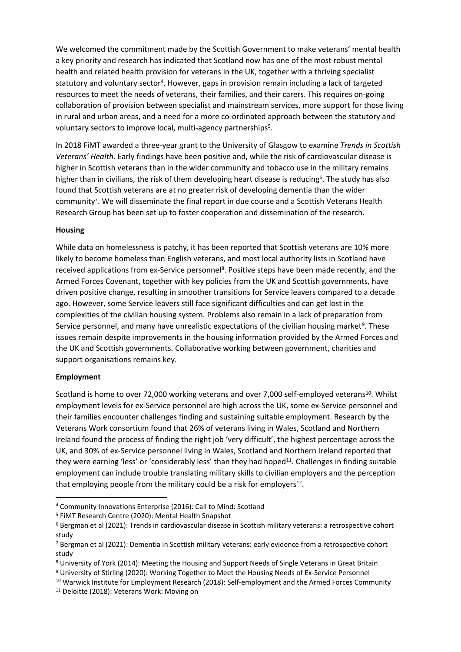We welcomed the commitment made by the Scottish Government to make veterans' mental health a key priority and research has indicated that Scotland now has one of the most robust mental health and related health provision for veterans in the UK, together with a thriving specialist statutory and voluntary sector<sup>4</sup>. However, gaps in provision remain including a lack of targeted resources to meet the needs of veterans, their families, and their carers. This requires on-going collaboration of provision between specialist and mainstream services, more support for those living in rural and urban areas, and a need for a more co-ordinated approach between the statutory and voluntary sectors to improve local, multi-agency partnerships<sup>5</sup>.

In 2018 FiMT awarded a three-year grant to the University of Glasgow to examine *Trends in Scottish Veterans' Health*. Early findings have been positive and, while the risk of cardiovascular disease is higher in Scottish veterans than in the wider community and tobacco use in the military remains higher than in civilians, the risk of them developing heart disease is reducing<sup>6</sup>. The study has also found that Scottish veterans are at no greater risk of developing dementia than the wider community<sup>7</sup>. We will disseminate the final report in due course and a Scottish Veterans Health Research Group has been set up to foster cooperation and dissemination of the research.

#### **Housing**

While data on homelessness is patchy, it has been reported that Scottish veterans are 10% more likely to become homeless than English veterans, and most local authority lists in Scotland have received applications from ex-Service personnel<sup>8</sup>. Positive steps have been made recently, and the Armed Forces Covenant, together with key policies from the UK and Scottish governments, have driven positive change, resulting in smoother transitions for Service leavers compared to a decade ago. However, some Service leavers still face significant difficulties and can get lost in the complexities of the civilian housing system. Problems also remain in a lack of preparation from Service personnel, and many have unrealistic expectations of the civilian housing market<sup>9</sup>. These issues remain despite improvements in the housing information provided by the Armed Forces and the UK and Scottish governments. Collaborative working between government, charities and support organisations remains key.

## **Employment**

Scotland is home to over 72,000 working veterans and over 7,000 self-employed veterans<sup>10</sup>. Whilst employment levels for ex-Service personnel are high across the UK, some ex-Service personnel and their families encounter challenges finding and sustaining suitable employment. Research by the Veterans Work consortium found that 26% of veterans living in Wales, Scotland and Northern Ireland found the process of finding the right job 'very difficult', the highest percentage across the UK, and 30% of ex-Service personnel living in Wales, Scotland and Northern Ireland reported that they were earning 'less' or 'considerably less' than they had hoped<sup>11</sup>. Challenges in finding suitable employment can include trouble translating military skills to civilian employers and the perception that employing people from the military could be a risk for employers<sup>12</sup>.

<sup>4</sup> Community Innovations Enterprise (2016): Call to Mind: Scotland

<sup>5</sup> FiMT Research Centre (2020): Mental Health Snapshot

<sup>6</sup> Bergman et al (2021): Trends in cardiovascular disease in Scottish military veterans: a retrospective cohort study

<sup>&</sup>lt;sup>7</sup> Bergman et al (2021): Dementia in Scottish military veterans: early evidence from a retrospective cohort study

<sup>8</sup> University of York (2014): Meeting the Housing and Support Needs of Single Veterans in Great Britain

<sup>&</sup>lt;sup>9</sup> University of Stirling (2020): Working Together to Meet the Housing Needs of Ex-Service Personnel

<sup>&</sup>lt;sup>10</sup> Warwick Institute for Employment Research (2018): Self-employment and the Armed Forces Community

<sup>11</sup> Deloitte (2018): Veterans Work: Moving on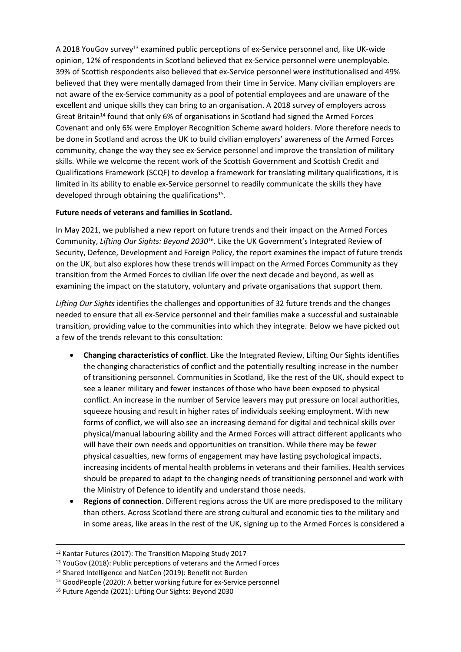A 2018 YouGov survey<sup>13</sup> examined public perceptions of ex-Service personnel and, like UK-wide opinion, 12% of respondents in Scotland believed that ex-Service personnel were unemployable. 39% of Scottish respondents also believed that ex-Service personnel were institutionalised and 49% believed that they were mentally damaged from their time in Service. Many civilian employers are not aware of the ex-Service community as a pool of potential employees and are unaware of the excellent and unique skills they can bring to an organisation. A 2018 survey of employers across Great Britain<sup>14</sup> found that only 6% of organisations in Scotland had signed the Armed Forces Covenant and only 6% were Employer Recognition Scheme award holders. More therefore needs to be done in Scotland and across the UK to build civilian employers' awareness of the Armed Forces community, change the way they see ex-Service personnel and improve the translation of military skills. While we welcome the recent work of the Scottish Government and Scottish Credit and Qualifications Framework (SCQF) to develop a framework for translating military qualifications, it is limited in its ability to enable ex-Service personnel to readily communicate the skills they have developed through obtaining the qualifications<sup>15</sup>.

## **Future needs of veterans and families in Scotland.**

In May 2021, we published a new report on future trends and their impact on the Armed Forces Community, *Lifting Our Sights: Beyond 2030<sup>16</sup>* . Like the UK Government's Integrated Review of Security, Defence, Development and Foreign Policy, the report examines the impact of future trends on the UK, but also explores how these trends will impact on the Armed Forces Community as they transition from the Armed Forces to civilian life over the next decade and beyond, as well as examining the impact on the statutory, voluntary and private organisations that support them.

*Lifting Our Sights* identifies the challenges and opportunities of 32 future trends and the changes needed to ensure that all ex-Service personnel and their families make a successful and sustainable transition, providing value to the communities into which they integrate. Below we have picked out a few of the trends relevant to this consultation:

- **Changing characteristics of conflict**. Like the Integrated Review, Lifting Our Sights identifies the changing characteristics of conflict and the potentially resulting increase in the number of transitioning personnel. Communities in Scotland, like the rest of the UK, should expect to see a leaner military and fewer instances of those who have been exposed to physical conflict. An increase in the number of Service leavers may put pressure on local authorities, squeeze housing and result in higher rates of individuals seeking employment. With new forms of conflict, we will also see an increasing demand for digital and technical skills over physical/manual labouring ability and the Armed Forces will attract different applicants who will have their own needs and opportunities on transition. While there may be fewer physical casualties, new forms of engagement may have lasting psychological impacts, increasing incidents of mental health problems in veterans and their families. Health services should be prepared to adapt to the changing needs of transitioning personnel and work with the Ministry of Defence to identify and understand those needs.
- **Regions of connection**. Different regions across the UK are more predisposed to the military than others. Across Scotland there are strong cultural and economic ties to the military and in some areas, like areas in the rest of the UK, signing up to the Armed Forces is considered a

<sup>12</sup> Kantar Futures (2017): The Transition Mapping Study 2017

<sup>13</sup> YouGov (2018): Public perceptions of veterans and the Armed Forces

<sup>14</sup> Shared Intelligence and NatCen (2019): Benefit not Burden

<sup>15</sup> GoodPeople (2020): A better working future for ex-Service personnel

<sup>16</sup> Future Agenda (2021): Lifting Our Sights: Beyond 2030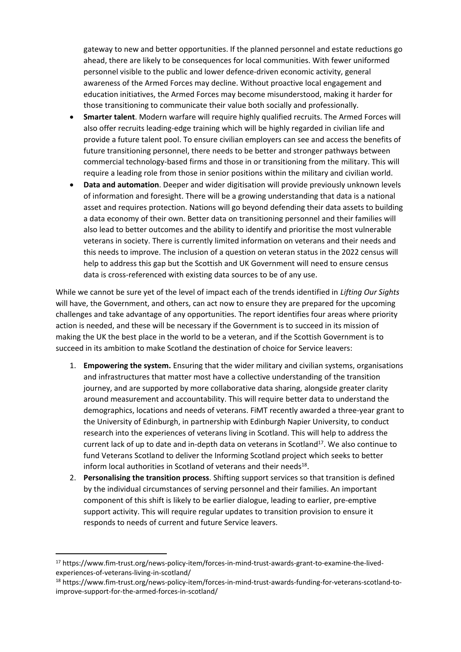gateway to new and better opportunities. If the planned personnel and estate reductions go ahead, there are likely to be consequences for local communities. With fewer uniformed personnel visible to the public and lower defence-driven economic activity, general awareness of the Armed Forces may decline. Without proactive local engagement and education initiatives, the Armed Forces may become misunderstood, making it harder for those transitioning to communicate their value both socially and professionally.

- **Smarter talent**. Modern warfare will require highly qualified recruits. The Armed Forces will also offer recruits leading-edge training which will be highly regarded in civilian life and provide a future talent pool. To ensure civilian employers can see and access the benefits of future transitioning personnel, there needs to be better and stronger pathways between commercial technology-based firms and those in or transitioning from the military. This will require a leading role from those in senior positions within the military and civilian world.
- **Data and automation**. Deeper and wider digitisation will provide previously unknown levels of information and foresight. There will be a growing understanding that data is a national asset and requires protection. Nations will go beyond defending their data assets to building a data economy of their own. Better data on transitioning personnel and their families will also lead to better outcomes and the ability to identify and prioritise the most vulnerable veterans in society. There is currently limited information on veterans and their needs and this needs to improve. The inclusion of a question on veteran status in the 2022 census will help to address this gap but the Scottish and UK Government will need to ensure census data is cross-referenced with existing data sources to be of any use.

While we cannot be sure yet of the level of impact each of the trends identified in *Lifting Our Sights* will have, the Government, and others, can act now to ensure they are prepared for the upcoming challenges and take advantage of any opportunities. The report identifies four areas where priority action is needed, and these will be necessary if the Government is to succeed in its mission of making the UK the best place in the world to be a veteran, and if the Scottish Government is to succeed in its ambition to make Scotland the destination of choice for Service leavers:

- 1. **Empowering the system.** Ensuring that the wider military and civilian systems, organisations and infrastructures that matter most have a collective understanding of the transition journey, and are supported by more collaborative data sharing, alongside greater clarity around measurement and accountability. This will require better data to understand the demographics, locations and needs of veterans. FiMT recently awarded a three-year grant to the University of Edinburgh, in partnership with Edinburgh Napier University, to conduct research into the experiences of veterans living in Scotland. This will help to address the current lack of up to date and in-depth data on veterans in Scotland<sup>17</sup>. We also continue to fund Veterans Scotland to deliver the Informing Scotland project which seeks to better inform local authorities in Scotland of veterans and their needs<sup>18</sup>.
- 2. **Personalising the transition process**. Shifting support services so that transition is defined by the individual circumstances of serving personnel and their families. An important component of this shift is likely to be earlier dialogue, leading to earlier, pre-emptive support activity. This will require regular updates to transition provision to ensure it responds to needs of current and future Service leavers.

<sup>17</sup> https://www.fim-trust.org/news-policy-item/forces-in-mind-trust-awards-grant-to-examine-the-livedexperiences-of-veterans-living-in-scotland/

<sup>18</sup> https://www.fim-trust.org/news-policy-item/forces-in-mind-trust-awards-funding-for-veterans-scotland-toimprove-support-for-the-armed-forces-in-scotland/